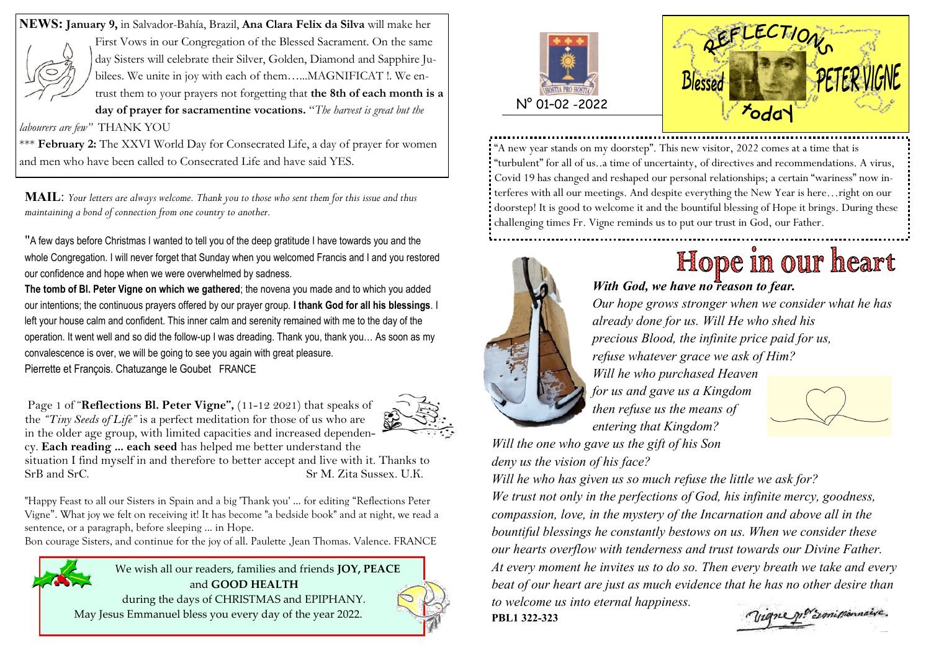**NEWS: January 9,** in Salvador-Bahía, Brazil, **Ana Clara Felix da Silva** will make her



First Vows in our Congregation of the Blessed Sacrament. On the same day Sisters will celebrate their Silver, Golden, Diamond and Sapphire Jubilees. We unite in joy with each of them…...MAGNIFICAT !. We entrust them to your prayers not forgetting that **the 8th of each month is a** 

**day of prayer for sacramentine vocations.** "*The harvest is great but the labourers are few"* THANK YOU

\*\*\* **February 2:** The XXVI World Day for Consecrated Life, a day of prayer for women and men who have been called to Consecrated Life and have said YES.

**MAIL**: *Your letters are always welcome. Thank you to those who sent them for this issue and thus maintaining a bond of connection from one country to another.*

"A few days before Christmas I wanted to tell you of the deep gratitude I have towards you and the whole Congregation. I will never forget that Sunday when you welcomed Francis and I and you restored our confidence and hope when we were overwhelmed by sadness.

**The tomb of Bl. Peter Vigne on which we gathered**; the novena you made and to which you added our intentions; the continuous prayers offered by our prayer group. **I thank God for all his blessings**. I left your house calm and confident. This inner calm and serenity remained with me to the day of the operation. It went well and so did the follow-up I was dreading. Thank you, thank you… As soon as my convalescence is over, we will be going to see you again with great pleasure. Pierrette et François. Chatuzange le Goubet FRANCE



Page 1 of "**Reflections Bl. Peter Vigne",** (11-12 2021) that speaks of the *"Tiny Seeds of Life"* is a perfect meditation for those of us who are in the older age group, with limited capacities and increased dependency. **Each reading ... each seed** has helped me better understand the situation I find myself in and therefore to better accept and live with it. Thanks to SrB and SrC. Sr M. Zita Sussex. U.K.

"Happy Feast to all our Sisters in Spain and a big 'Thank you' ... for editing "Reflections Peter Vigne". What joy we felt on receiving it! It has become "a bedside book" and at night, we read a sentence, or a paragraph, before sleeping ... in Hope.

Bon courage Sisters, and continue for the joy of all. Paulette ,Jean Thomas. Valence. FRANCE

We wish all our readers, families and friends **JOY, PEACE**  and **GOOD HEALTH** 

during the days of CHRISTMAS and EPIPHANY. May Jesus Emmanuel bless you every day of the year 2022.







"A new year stands on my doorstep". This new visitor, 2022 comes at a time that is "turbulent" for all of us..a time of uncertainty, of directives and recommendations. A virus, Covid 19 has changed and reshaped our personal relationships; a certain "wariness" now interferes with all our meetings. And despite everything the New Year is here…right on our doorstep! It is good to welcome it and the bountiful blessing of Hope it brings. During these challenging times Fr. Vigne reminds us to put our trust in God, our Father.



## Hope in our heart

*With God, we have no reason to fear. Our hope grows stronger when we consider what he has* 

*already done for us. Will He who shed his precious Blood, the infinite price paid for us, refuse whatever grace we ask of Him? Will he who purchased Heaven for us and gave us a Kingdom then refuse us the means of* 

*Will the one who gave us the gift of his Son deny us the vision of his face?*

*entering that Kingdom?*

*Will he who has given us so much refuse the little we ask for? We trust not only in the perfections of God, his infinite mercy, goodness, compassion, love, in the mystery of the Incarnation and above all in the bountiful blessings he constantly bestows on us. When we consider these our hearts overflow with tenderness and trust towards our Divine Father. At every moment he invites us to do so. Then every breath we take and every beat of our heart are just as much evidence that he has no other desire than to welcome us into eternal happiness.* **PBL1 322-323**

Vigne pt Esmissionnaire